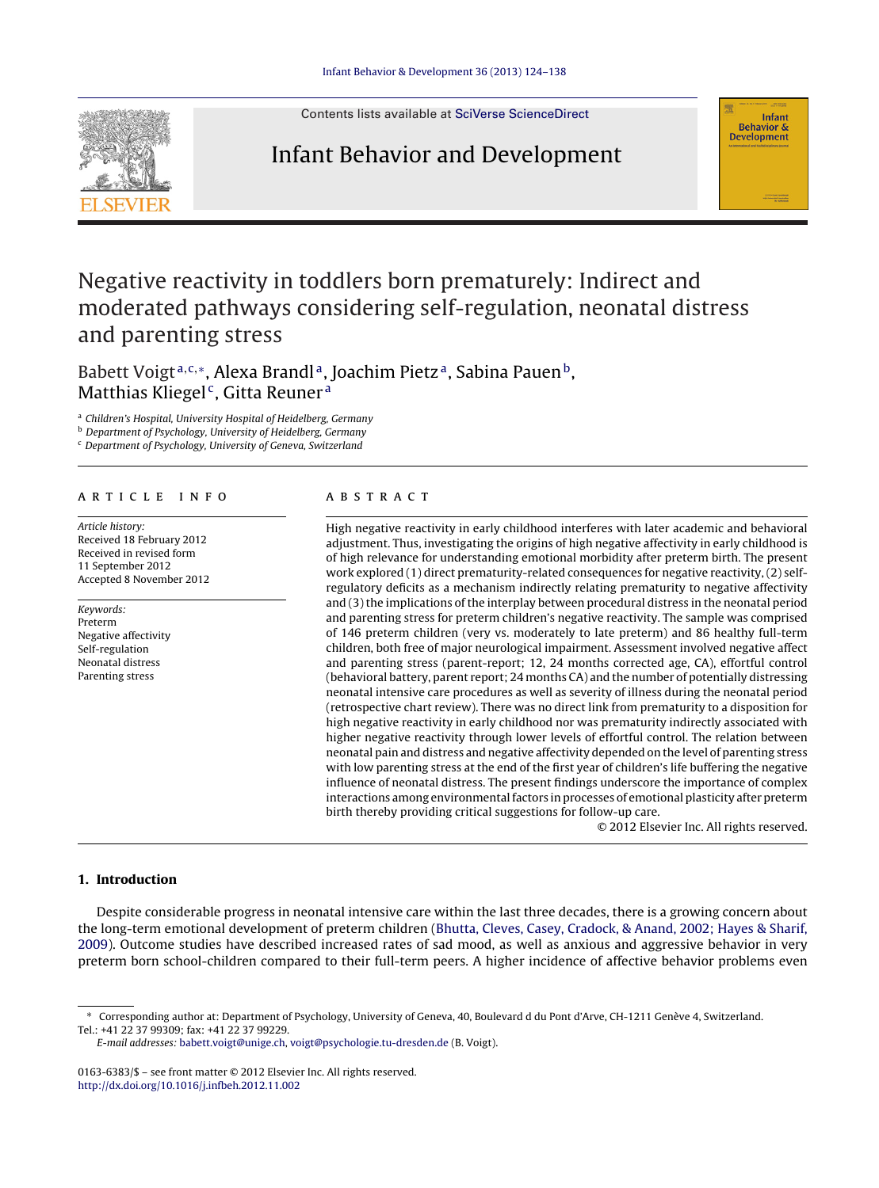

Contents lists available at SciVerse [ScienceDirect](http://www.sciencedirect.com/science/journal/01636383)

### Infant Behavior and Development



## Negative reactivity in toddlers born prematurely: Indirect and moderated pathways considering self-regulation, neonatal distress and parenting stress

Babett Voigt<sup>a,c,\*</sup>, Alexa Brandl<sup>a</sup>, Joachim Pietz<sup>a</sup>, Sabina Pauen<sup>b</sup>, Matthias Kliegel<sup>c</sup>, Gitta Reuner<sup>a</sup>

<sup>a</sup> Children's Hospital, University Hospital of Heidelberg, Germany

**b** Department of Psychology, University of Heidelberg, Germany

<sup>c</sup> Department of Psychology, University of Geneva, Switzerland

#### a r t i c l e i n f o

Article history: Received 18 February 2012 Received in revised form 11 September 2012 Accepted 8 November 2012

Keywords: Preterm Negative affectivity Self-regulation Neonatal distress Parenting stress

#### A B S T R A C T

High negative reactivity in early childhood interferes with later academic and behavioral adjustment. Thus, investigating the origins of high negative affectivity in early childhood is of high relevance for understanding emotional morbidity after preterm birth. The present work explored (1) direct prematurity-related consequences for negative reactivity, (2) selfregulatory deficits as a mechanism indirectly relating prematurity to negative affectivity and (3) the implications of the interplay between procedural distress in the neonatal period and parenting stress for preterm children's negative reactivity. The sample was comprised of 146 preterm children (very vs. moderately to late preterm) and 86 healthy full-term children, both free of major neurological impairment. Assessment involved negative affect and parenting stress (parent-report; 12, 24 months corrected age, CA), effortful control (behavioral battery, parent report; 24 months CA) and the number of potentially distressing neonatal intensive care procedures as well as severity of illness during the neonatal period (retrospective chart review). There was no direct link from prematurity to a disposition for high negative reactivity in early childhood nor was prematurity indirectly associated with higher negative reactivity through lower levels of effortful control. The relation between neonatal pain and distress and negative affectivity depended on the level of parenting stress with low parenting stress at the end of the first year of children's life buffering the negative influence of neonatal distress. The present findings underscore the importance of complex interactions among environmental factors in processes of emotional plasticity after preterm birth thereby providing critical suggestions for follow-up care.

© 2012 Elsevier Inc. All rights reserved.

#### **1. Introduction**

Despite considerable progress in neonatal intensive care within the last three decades, there is a growing concern about the long-term emotional development of preterm children [\(Bhutta,](#page--1-0) [Cleves,](#page--1-0) [Casey,](#page--1-0) [Cradock,](#page--1-0) [&](#page--1-0) [Anand,](#page--1-0) [2002;](#page--1-0) [Hayes](#page--1-0) [&](#page--1-0) [Sharif,](#page--1-0) [2009\).](#page--1-0) Outcome studies have described increased rates of sad mood, as well as anxious and aggressive behavior in very preterm born school-children compared to their full-term peers. A higher incidence of affective behavior problems even

E-mail addresses: [babett.voigt@unige.ch,](mailto:babett.voigt@unige.ch) [voigt@psychologie.tu-dresden.de](mailto:voigt@psychologie.tu-dresden.de) (B. Voigt).

0163-6383/\$ – see front matter © 2012 Elsevier Inc. All rights reserved. [http://dx.doi.org/10.1016/j.infbeh.2012.11.002](dx.doi.org/10.1016/j.infbeh.2012.11.002)

<sup>∗</sup> Corresponding author at: Department of Psychology, University of Geneva, 40, Boulevard d du Pont d'Arve, CH-1211 Genève 4, Switzerland. Tel.: +41 22 37 99309; fax: +41 22 37 99229.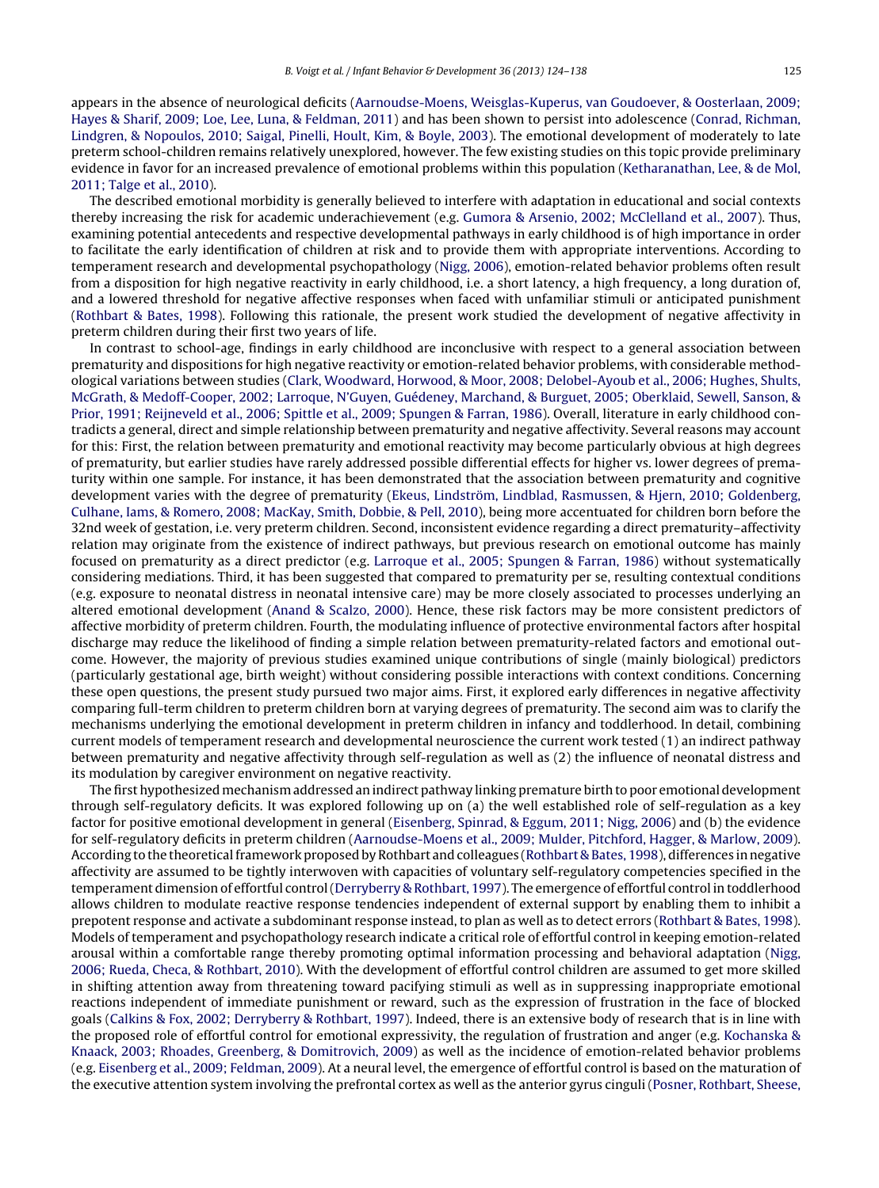appears in the absence of neurological deficits [\(Aarnoudse-Moens,](#page--1-0) [Weisglas-Kuperus,](#page--1-0) [van](#page--1-0) [Goudoever,](#page--1-0) [&](#page--1-0) [Oosterlaan,](#page--1-0) [2009;](#page--1-0) [Hayes](#page--1-0) [&](#page--1-0) [Sharif,](#page--1-0) [2009;](#page--1-0) [Loe,](#page--1-0) [Lee,](#page--1-0) [Luna,](#page--1-0) [&](#page--1-0) [Feldman,](#page--1-0) [2011\)](#page--1-0) and has been shown to persist into adolescence [\(Conrad,](#page--1-0) [Richman,](#page--1-0) [Lindgren,](#page--1-0) [&](#page--1-0) [Nopoulos,](#page--1-0) [2010;](#page--1-0) [Saigal,](#page--1-0) [Pinelli,](#page--1-0) [Hoult,](#page--1-0) [Kim,](#page--1-0) [&](#page--1-0) [Boyle,](#page--1-0) [2003\).](#page--1-0) The emotional development of moderately to late preterm school-children remains relatively unexplored, however. The few existing studies on this topic provide preliminary evidence in favor for an increased prevalence of emotional problems within this population ([Ketharanathan,](#page--1-0) [Lee,](#page--1-0) [&](#page--1-0) [de](#page--1-0) [Mol,](#page--1-0) [2011;](#page--1-0) [Talge](#page--1-0) et [al.,](#page--1-0) [2010\).](#page--1-0)

The described emotional morbidity is generally believed to interfere with adaptation in educational and social contexts thereby increasing the risk for academic underachievement (e.g. [Gumora](#page--1-0) [&](#page--1-0) [Arsenio,](#page--1-0) [2002;](#page--1-0) [McClelland](#page--1-0) et [al.,](#page--1-0) [2007\).](#page--1-0) Thus, examining potential antecedents and respective developmental pathways in early childhood is of high importance in order to facilitate the early identification of children at risk and to provide them with appropriate interventions. According to temperament research and developmental psychopathology [\(Nigg,](#page--1-0) [2006\),](#page--1-0) emotion-related behavior problems often result from a disposition for high negative reactivity in early childhood, i.e. a short latency, a high frequency, a long duration of, and a lowered threshold for negative affective responses when faced with unfamiliar stimuli or anticipated punishment [\(Rothbart](#page--1-0) [&](#page--1-0) [Bates,](#page--1-0) [1998\).](#page--1-0) Following this rationale, the present work studied the development of negative affectivity in preterm children during their first two years of life.

In contrast to school-age, findings in early childhood are inconclusive with respect to a general association between prematurity and dispositions for high negative reactivity or emotion-related behavior problems, with considerable methodological variations between studies [\(Clark,](#page--1-0) [Woodward,](#page--1-0) [Horwood,](#page--1-0) [&](#page--1-0) [Moor,](#page--1-0) [2008;](#page--1-0) [Delobel-Ayoub](#page--1-0) et [al.,](#page--1-0) [2006;](#page--1-0) [Hughes,](#page--1-0) [Shults,](#page--1-0) [McGrath,](#page--1-0) [&](#page--1-0) [Medoff-Cooper,](#page--1-0) [2002;](#page--1-0) [Larroque,](#page--1-0) [N'Guyen,](#page--1-0) [Guédeney,](#page--1-0) [Marchand,](#page--1-0) [&](#page--1-0) [Burguet,](#page--1-0) [2005;](#page--1-0) [Oberklaid,](#page--1-0) [Sewell,](#page--1-0) [Sanson,](#page--1-0) [&](#page--1-0) [Prior,](#page--1-0) [1991;](#page--1-0) [Reijneveld](#page--1-0) et [al.,](#page--1-0) [2006;](#page--1-0) [Spittle](#page--1-0) et [al.,](#page--1-0) [2009;](#page--1-0) [Spungen](#page--1-0) [&](#page--1-0) [Farran,](#page--1-0) [1986\).](#page--1-0) Overall, literature in early childhood contradicts a general, direct and simple relationship between prematurity and negative affectivity. Several reasons may account for this: First, the relation between prematurity and emotional reactivity may become particularly obvious at high degrees of prematurity, but earlier studies have rarely addressed possible differential effects for higher vs. lower degrees of prematurity within one sample. For instance, it has been demonstrated that the association between prematurity and cognitive development varies with the degree of prematurity ([Ekeus,](#page--1-0) [Lindström,](#page--1-0) [Lindblad,](#page--1-0) [Rasmussen,](#page--1-0) [&](#page--1-0) [Hjern,](#page--1-0) [2010;](#page--1-0) [Goldenberg,](#page--1-0) [Culhane,](#page--1-0) [Iams,](#page--1-0) [&](#page--1-0) [Romero,](#page--1-0) [2008;](#page--1-0) [MacKay,](#page--1-0) [Smith,](#page--1-0) [Dobbie,](#page--1-0) [&](#page--1-0) [Pell,](#page--1-0) [2010\),](#page--1-0) being more accentuated for children born before the 32nd week of gestation, i.e. very preterm children. Second, inconsistent evidence regarding a direct prematurity–affectivity relation may originate from the existence of indirect pathways, but previous research on emotional outcome has mainly focused on prematurity as a direct predictor (e.g. [Larroque](#page--1-0) et [al.,](#page--1-0) [2005;](#page--1-0) [Spungen](#page--1-0) [&](#page--1-0) [Farran,](#page--1-0) [1986\)](#page--1-0) without systematically considering mediations. Third, it has been suggested that compared to prematurity per se, resulting contextual conditions (e.g. exposure to neonatal distress in neonatal intensive care) may be more closely associated to processes underlying an altered emotional development [\(Anand](#page--1-0) [&](#page--1-0) [Scalzo,](#page--1-0) [2000\).](#page--1-0) Hence, these risk factors may be more consistent predictors of affective morbidity of preterm children. Fourth, the modulating influence of protective environmental factors after hospital discharge may reduce the likelihood of finding a simple relation between prematurity-related factors and emotional outcome. However, the majority of previous studies examined unique contributions of single (mainly biological) predictors (particularly gestational age, birth weight) without considering possible interactions with context conditions. Concerning these open questions, the present study pursued two major aims. First, it explored early differences in negative affectivity comparing full-term children to preterm children born at varying degrees of prematurity. The second aim was to clarify the mechanisms underlying the emotional development in preterm children in infancy and toddlerhood. In detail, combining current models of temperament research and developmental neuroscience the current work tested (1) an indirect pathway between prematurity and negative affectivity through self-regulation as well as (2) the influence of neonatal distress and its modulation by caregiver environment on negative reactivity.

The first hypothesized mechanism addressed an indirect pathway linking premature birth to poor emotional development through self-regulatory deficits. It was explored following up on (a) the well established role of self-regulation as a key factor for positive emotional development in general ([Eisenberg,](#page--1-0) [Spinrad,](#page--1-0) [&](#page--1-0) [Eggum,](#page--1-0) [2011;](#page--1-0) [Nigg,](#page--1-0) [2006\)](#page--1-0) and (b) the evidence for self-regulatory deficits in preterm children ([Aarnoudse-Moens](#page--1-0) et [al.,](#page--1-0) [2009;](#page--1-0) [Mulder,](#page--1-0) [Pitchford,](#page--1-0) [Hagger,](#page--1-0) [&](#page--1-0) [Marlow,](#page--1-0) [2009\).](#page--1-0) According to the theoreticalframework proposed byRothbart and colleagues ([Rothbart](#page--1-0) [&](#page--1-0) [Bates,](#page--1-0) [1998\),](#page--1-0) differences in negative affectivity are assumed to be tightly interwoven with capacities of voluntary self-regulatory competencies specified in the temperament dimension of effortful control[\(Derryberry](#page--1-0) [&](#page--1-0) [Rothbart,](#page--1-0) [1997\).](#page--1-0) The emergence of effortful control in toddlerhood allows children to modulate reactive response tendencies independent of external support by enabling them to inhibit a prepotent response and activate a subdominant response instead, to plan as well as to detect errors ([Rothbart](#page--1-0) [&](#page--1-0) [Bates,](#page--1-0) [1998\).](#page--1-0) Models of temperament and psychopathology research indicate a critical role of effortful control in keeping emotion-related arousal within a comfortable range thereby promoting optimal information processing and behavioral adaptation ([Nigg,](#page--1-0) [2006;](#page--1-0) [Rueda,](#page--1-0) [Checa,](#page--1-0) [&](#page--1-0) [Rothbart,](#page--1-0) [2010\).](#page--1-0) With the development of effortful control children are assumed to get more skilled in shifting attention away from threatening toward pacifying stimuli as well as in suppressing inappropriate emotional reactions independent of immediate punishment or reward, such as the expression of frustration in the face of blocked goals ([Calkins](#page--1-0) [&](#page--1-0) [Fox,](#page--1-0) [2002;](#page--1-0) [Derryberry](#page--1-0) [&](#page--1-0) [Rothbart,](#page--1-0) [1997\).](#page--1-0) Indeed, there is an extensive body of research that is in line with the proposed role of effortful control for emotional expressivity, the regulation of frustration and anger (e.g. [Kochanska](#page--1-0) [&](#page--1-0) [Knaack,](#page--1-0) [2003;](#page--1-0) [Rhoades,](#page--1-0) [Greenberg,](#page--1-0) [&](#page--1-0) [Domitrovich,](#page--1-0) [2009\)](#page--1-0) as well as the incidence of emotion-related behavior problems (e.g. [Eisenberg](#page--1-0) et [al.,](#page--1-0) [2009;](#page--1-0) [Feldman,](#page--1-0) [2009\).](#page--1-0) At a neural level, the emergence of effortful control is based on the maturation of the executive attention system involving the prefrontal cortex as well as the anterior gyrus cinguli ([Posner,](#page--1-0) [Rothbart,](#page--1-0) [Sheese,](#page--1-0)